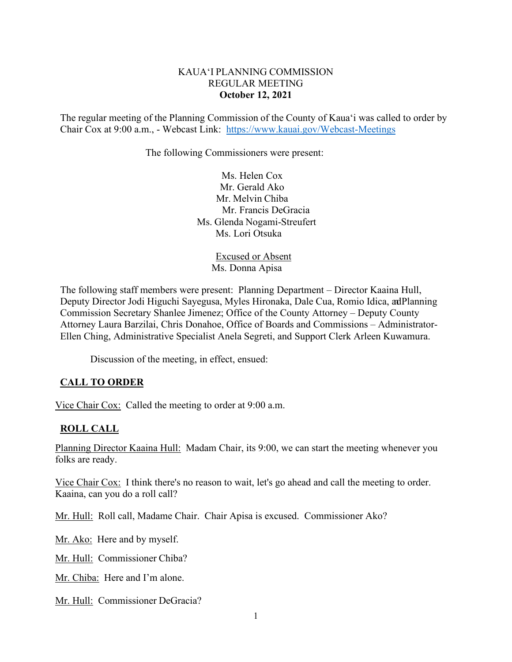### KAUA'I PLANNING COMMISSION REGULAR MEETING **October 12, 2021**

The regular meeting of the Planning Commission of the County of Kaua'i was called to order by Chair Cox at 9:00 a.m., - Webcast Link: <https://www.kauai.gov/Webcast-Meetings>

The following Commissioners were present:

Ms. Helen Cox Mr. Gerald Ako Mr. Melvin Chiba Mr. Francis DeGracia Ms. Glenda Nogami-Streufert Ms. Lori Otsuka

> Excused or Absent Ms. Donna Apisa

The following staff members were present: Planning Department – Director Kaaina Hull, Deputy Director Jodi Higuchi Sayegusa, Myles Hironaka, Dale Cua, Romio Idica, adPlanning Commission Secretary Shanlee Jimenez; Office of the County Attorney – Deputy County Attorney Laura Barzilai, Chris Donahoe, Office of Boards and Commissions – Administrator-Ellen Ching, Administrative Specialist Anela Segreti, and Support Clerk Arleen Kuwamura.

Discussion of the meeting, in effect, ensued:

### **CALL TO ORDER**

Vice Chair Cox: Called the meeting to order at 9:00 a.m.

### **ROLL CALL**

Planning Director Kaaina Hull: Madam Chair, its 9:00, we can start the meeting whenever you folks are ready.

Vice Chair Cox: I think there's no reason to wait, let's go ahead and call the meeting to order. Kaaina, can you do a roll call?

Mr. Hull: Roll call, Madame Chair. Chair Apisa is excused. Commissioner Ako?

Mr. Ako: Here and by myself.

Mr. Hull: Commissioner Chiba?

Mr. Chiba: Here and I'm alone.

Mr. Hull: Commissioner DeGracia?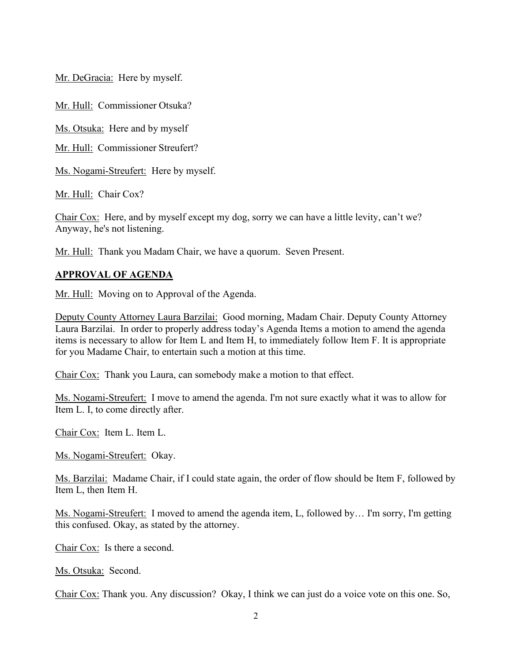Mr. DeGracia: Here by myself.

Mr. Hull: Commissioner Otsuka?

Ms. Otsuka: Here and by myself

Mr. Hull: Commissioner Streufert?

Ms. Nogami-Streufert: Here by myself.

Mr. Hull: Chair Cox?

Chair Cox: Here, and by myself except my dog, sorry we can have a little levity, can't we? Anyway, he's not listening.

Mr. Hull: Thank you Madam Chair, we have a quorum. Seven Present.

## **APPROVAL OF AGENDA**

Mr. Hull: Moving on to Approval of the Agenda.

Deputy County Attorney Laura Barzilai: Good morning, Madam Chair. Deputy County Attorney Laura Barzilai. In order to properly address today's Agenda Items a motion to amend the agenda items is necessary to allow for Item L and Item H, to immediately follow Item F. It is appropriate for you Madame Chair, to entertain such a motion at this time.

Chair Cox: Thank you Laura, can somebody make a motion to that effect.

Ms. Nogami-Streufert: I move to amend the agenda. I'm not sure exactly what it was to allow for Item L. I, to come directly after.

Chair Cox: Item L. Item L.

Ms. Nogami-Streufert: Okay.

Ms. Barzilai: Madame Chair, if I could state again, the order of flow should be Item F, followed by Item L, then Item H.

Ms. Nogami-Streufert: I moved to amend the agenda item, L, followed by… I'm sorry, I'm getting this confused. Okay, as stated by the attorney.

Chair Cox: Is there a second.

Ms. Otsuka: Second.

Chair Cox: Thank you. Any discussion? Okay, I think we can just do a voice vote on this one. So,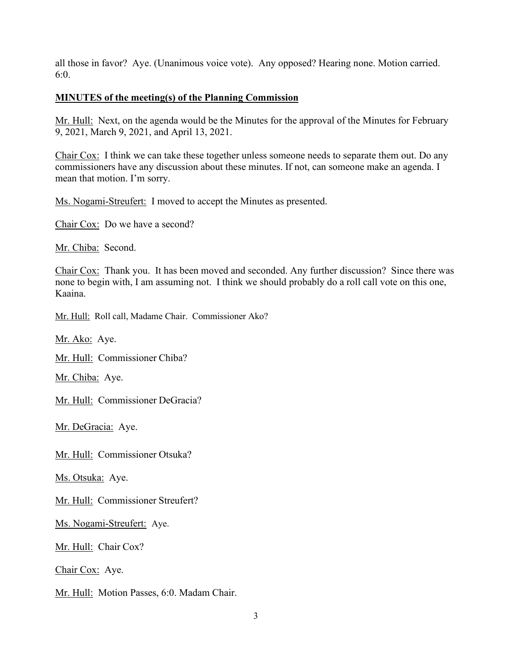all those in favor? Aye. (Unanimous voice vote). Any opposed? Hearing none. Motion carried. 6:0.

### **MINUTES of the meeting(s) of the Planning Commission**

Mr. Hull: Next, on the agenda would be the Minutes for the approval of the Minutes for February 9, 2021, March 9, 2021, and April 13, 2021.

Chair Cox: I think we can take these together unless someone needs to separate them out. Do any commissioners have any discussion about these minutes. If not, can someone make an agenda. I mean that motion. I'm sorry.

Ms. Nogami-Streufert: I moved to accept the Minutes as presented.

Chair Cox: Do we have a second?

Mr. Chiba: Second.

Chair Cox: Thank you. It has been moved and seconded. Any further discussion? Since there was none to begin with, I am assuming not. I think we should probably do a roll call vote on this one, Kaaina.

Mr. Hull: Roll call, Madame Chair. Commissioner Ako?

Mr. Ako: Aye.

Mr. Hull: Commissioner Chiba?

Mr. Chiba: Aye.

Mr. Hull: Commissioner DeGracia?

Mr. DeGracia: Aye.

Mr. Hull: Commissioner Otsuka?

Ms. Otsuka: Aye.

Mr. Hull: Commissioner Streufert?

Ms. Nogami-Streufert: Aye.

Mr. Hull: Chair Cox?

Chair Cox: Aye.

Mr. Hull: Motion Passes, 6:0. Madam Chair.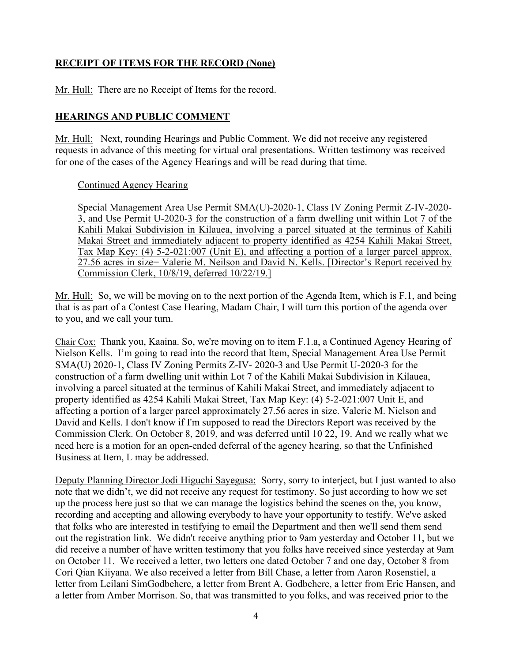# **RECEIPT OF ITEMS FOR THE RECORD (None)**

Mr. Hull: There are no Receipt of Items for the record.

# **HEARINGS AND PUBLIC COMMENT**

Mr. Hull: Next, rounding Hearings and Public Comment. We did not receive any registered requests in advance of this meeting for virtual oral presentations. Written testimony was received for one of the cases of the Agency Hearings and will be read during that time.

### Continued Agency Hearing

Special Management Area Use Permit SMA(U)-2020-1, Class IV Zoning Permit Z-IV-2020- 3, and Use Permit U-2020-3 for the construction of a farm dwelling unit within Lot 7 of the Kahili Makai Subdivision in Kilauea, involving a parcel situated at the terminus of Kahili Makai Street and immediately adjacent to property identified as 4254 Kahili Makai Street, Tax Map Key: (4) 5-2-021:007 (Unit E), and affecting a portion of a larger parcel approx. 27.56 acres in size= Valerie M. Neilson and David N. Kells. [Director's Report received by Commission Clerk, 10/8/19, deferred 10/22/19.]

Mr. Hull: So, we will be moving on to the next portion of the Agenda Item, which is F.1, and being that is as part of a Contest Case Hearing, Madam Chair, I will turn this portion of the agenda over to you, and we call your turn.

Chair Cox: Thank you, Kaaina. So, we're moving on to item F.1.a, a Continued Agency Hearing of Nielson Kells. I'm going to read into the record that Item, Special Management Area Use Permit SMA(U) 2020-1, Class IV Zoning Permits Z-IV- 2020-3 and Use Permit U-2020-3 for the construction of a farm dwelling unit within Lot 7 of the Kahili Makai Subdivision in Kilauea, involving a parcel situated at the terminus of Kahili Makai Street, and immediately adjacent to property identified as 4254 Kahili Makai Street, Tax Map Key: (4) 5-2-021:007 Unit E, and affecting a portion of a larger parcel approximately 27.56 acres in size. Valerie M. Nielson and David and Kells. I don't know if I'm supposed to read the Directors Report was received by the Commission Clerk. On October 8, 2019, and was deferred until 10 22, 19. And we really what we need here is a motion for an open-ended deferral of the agency hearing, so that the Unfinished Business at Item, L may be addressed.

Deputy Planning Director Jodi Higuchi Sayegusa: Sorry, sorry to interject, but I just wanted to also note that we didn't, we did not receive any request for testimony. So just according to how we set up the process here just so that we can manage the logistics behind the scenes on the, you know, recording and accepting and allowing everybody to have your opportunity to testify. We've asked that folks who are interested in testifying to email the Department and then we'll send them send out the registration link. We didn't receive anything prior to 9am yesterday and October 11, but we did receive a number of have written testimony that you folks have received since yesterday at 9am on October 11. We received a letter, two letters one dated October 7 and one day, October 8 from Cori Qian Kiiyana. We also received a letter from Bill Chase, a letter from Aaron Rosenstiel, a letter from Leilani SimGodbehere, a letter from Brent A. Godbehere, a letter from Eric Hansen, and a letter from Amber Morrison. So, that was transmitted to you folks, and was received prior to the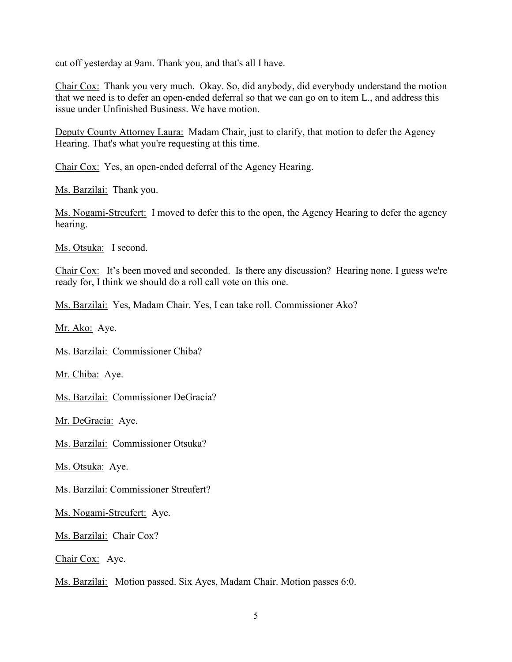cut off yesterday at 9am. Thank you, and that's all I have.

Chair Cox: Thank you very much. Okay. So, did anybody, did everybody understand the motion that we need is to defer an open-ended deferral so that we can go on to item L., and address this issue under Unfinished Business. We have motion.

Deputy County Attorney Laura: Madam Chair, just to clarify, that motion to defer the Agency Hearing. That's what you're requesting at this time.

Chair Cox: Yes, an open-ended deferral of the Agency Hearing.

Ms. Barzilai: Thank you.

Ms. Nogami-Streufert: I moved to defer this to the open, the Agency Hearing to defer the agency hearing.

Ms. Otsuka: I second.

Chair Cox: It's been moved and seconded. Is there any discussion? Hearing none. I guess we're ready for, I think we should do a roll call vote on this one.

Ms. Barzilai: Yes, Madam Chair. Yes, I can take roll. Commissioner Ako?

Mr. Ako: Aye.

Ms. Barzilai: Commissioner Chiba?

Mr. Chiba: Aye.

Ms. Barzilai: Commissioner DeGracia?

Mr. DeGracia: Aye.

Ms. Barzilai: Commissioner Otsuka?

Ms. Otsuka: Aye.

Ms. Barzilai: Commissioner Streufert?

Ms. Nogami-Streufert: Aye.

Ms. Barzilai: Chair Cox?

Chair Cox: Aye.

Ms. Barzilai: Motion passed. Six Ayes, Madam Chair. Motion passes 6:0.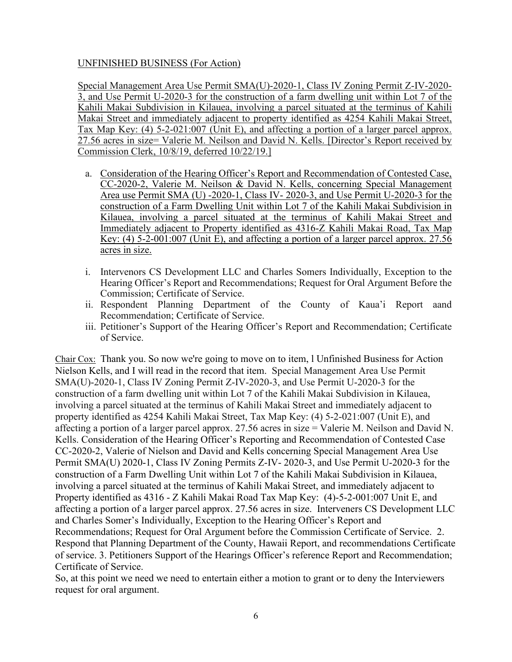### UNFINISHED BUSINESS (For Action)

Special Management Area Use Permit SMA(U)-2020-1, Class IV Zoning Permit Z-IV-2020- 3, and Use Permit U-2020-3 for the construction of a farm dwelling unit within Lot 7 of the Kahili Makai Subdivision in Kilauea, involving a parcel situated at the terminus of Kahili Makai Street and immediately adjacent to property identified as 4254 Kahili Makai Street, Tax Map Key: (4) 5-2-021:007 (Unit E), and affecting a portion of a larger parcel approx. 27.56 acres in size= Valerie M. Neilson and David N. Kells. [Director's Report received by Commission Clerk, 10/8/19, deferred 10/22/19.]

- a. Consideration of the Hearing Officer's Report and Recommendation of Contested Case, CC-2020-2, Valerie M. Neilson & David N. Kells, concerning Special Management Area use Permit SMA (U) -2020-1, Class IV- 2020-3, and Use Permit U-2020-3 for the construction of a Farm Dwelling Unit within Lot 7 of the Kahili Makai Subdivision in Kilauea, involving a parcel situated at the terminus of Kahili Makai Street and Immediately adjacent to Property identified as 4316-Z Kahili Makai Road, Tax Map Key: (4) 5-2-001:007 (Unit E), and affecting a portion of a larger parcel approx. 27.56 acres in size.
- i. Intervenors CS Development LLC and Charles Somers Individually, Exception to the Hearing Officer's Report and Recommendations; Request for Oral Argument Before the Commission; Certificate of Service.
- ii. Respondent Planning Department of the County of Kaua'i Report aand Recommendation; Certificate of Service.
- iii. Petitioner's Support of the Hearing Officer's Report and Recommendation; Certificate of Service.

Chair Cox: Thank you. So now we're going to move on to item, l Unfinished Business for Action Nielson Kells, and I will read in the record that item. Special Management Area Use Permit SMA(U)-2020-1, Class IV Zoning Permit Z-IV-2020-3, and Use Permit U-2020-3 for the construction of a farm dwelling unit within Lot 7 of the Kahili Makai Subdivision in Kilauea, involving a parcel situated at the terminus of Kahili Makai Street and immediately adjacent to property identified as 4254 Kahili Makai Street, Tax Map Key: (4) 5-2-021:007 (Unit E), and affecting a portion of a larger parcel approx. 27.56 acres in size = Valerie M. Neilson and David N. Kells. Consideration of the Hearing Officer's Reporting and Recommendation of Contested Case CC-2020-2, Valerie of Nielson and David and Kells concerning Special Management Area Use Permit SMA(U) 2020-1, Class IV Zoning Permits Z-IV- 2020-3, and Use Permit U-2020-3 for the construction of a Farm Dwelling Unit within Lot 7 of the Kahili Makai Subdivision in Kilauea, involving a parcel situated at the terminus of Kahili Makai Street, and immediately adjacent to Property identified as 4316 - Z Kahili Makai Road Tax Map Key: (4)-5-2-001:007 Unit E, and affecting a portion of a larger parcel approx. 27.56 acres in size. Interveners CS Development LLC and Charles Somer's Individually, Exception to the Hearing Officer's Report and Recommendations; Request for Oral Argument before the Commission Certificate of Service. 2. Respond that Planning Department of the County, Hawaii Report, and recommendations Certificate of service. 3. Petitioners Support of the Hearings Officer's reference Report and Recommendation; Certificate of Service.

So, at this point we need we need to entertain either a motion to grant or to deny the Interviewers request for oral argument.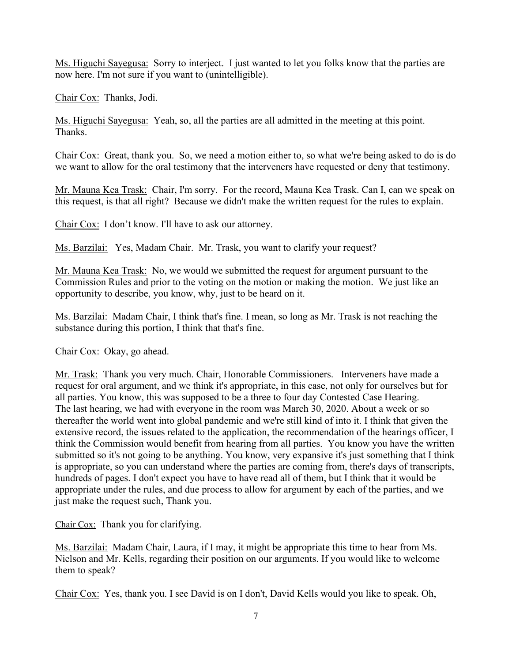Ms. Higuchi Sayegusa: Sorry to interject. I just wanted to let you folks know that the parties are now here. I'm not sure if you want to (unintelligible).

Chair Cox: Thanks, Jodi.

Ms. Higuchi Sayegusa: Yeah, so, all the parties are all admitted in the meeting at this point. Thanks.

Chair Cox: Great, thank you. So, we need a motion either to, so what we're being asked to do is do we want to allow for the oral testimony that the interveners have requested or deny that testimony.

Mr. Mauna Kea Trask: Chair, I'm sorry. For the record, Mauna Kea Trask. Can I, can we speak on this request, is that all right? Because we didn't make the written request for the rules to explain.

Chair Cox: I don't know. I'll have to ask our attorney.

Ms. Barzilai: Yes, Madam Chair. Mr. Trask, you want to clarify your request?

Mr. Mauna Kea Trask: No, we would we submitted the request for argument pursuant to the Commission Rules and prior to the voting on the motion or making the motion. We just like an opportunity to describe, you know, why, just to be heard on it.

Ms. Barzilai: Madam Chair, I think that's fine. I mean, so long as Mr. Trask is not reaching the substance during this portion, I think that that's fine.

Chair Cox: Okay, go ahead.

Mr. Trask: Thank you very much. Chair, Honorable Commissioners. Interveners have made a request for oral argument, and we think it's appropriate, in this case, not only for ourselves but for all parties. You know, this was supposed to be a three to four day Contested Case Hearing. The last hearing, we had with everyone in the room was March 30, 2020. About a week or so thereafter the world went into global pandemic and we're still kind of into it. I think that given the extensive record, the issues related to the application, the recommendation of the hearings officer, I think the Commission would benefit from hearing from all parties. You know you have the written submitted so it's not going to be anything. You know, very expansive it's just something that I think is appropriate, so you can understand where the parties are coming from, there's days of transcripts, hundreds of pages. I don't expect you have to have read all of them, but I think that it would be appropriate under the rules, and due process to allow for argument by each of the parties, and we just make the request such, Thank you.

Chair Cox: Thank you for clarifying.

Ms. Barzilai: Madam Chair, Laura, if I may, it might be appropriate this time to hear from Ms. Nielson and Mr. Kells, regarding their position on our arguments. If you would like to welcome them to speak?

Chair Cox: Yes, thank you. I see David is on I don't, David Kells would you like to speak. Oh,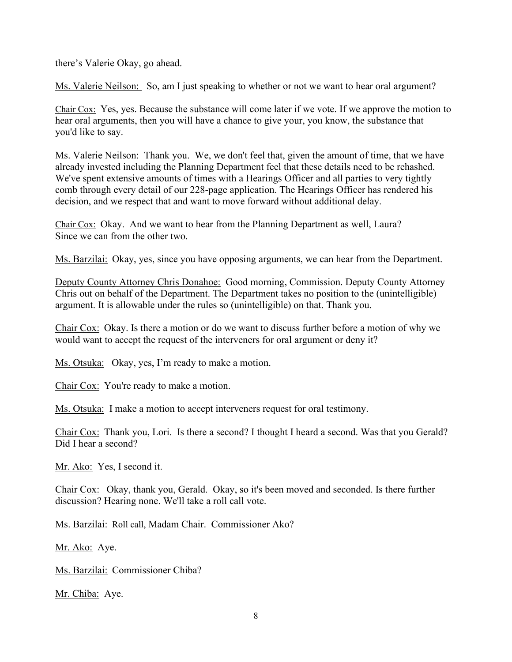there's Valerie Okay, go ahead.

Ms. Valerie Neilson: So, am I just speaking to whether or not we want to hear oral argument?

Chair Cox: Yes, yes. Because the substance will come later if we vote. If we approve the motion to hear oral arguments, then you will have a chance to give your, you know, the substance that you'd like to say.

Ms. Valerie Neilson: Thank you. We, we don't feel that, given the amount of time, that we have already invested including the Planning Department feel that these details need to be rehashed. We've spent extensive amounts of times with a Hearings Officer and all parties to very tightly comb through every detail of our 228-page application. The Hearings Officer has rendered his decision, and we respect that and want to move forward without additional delay.

Chair Cox: Okay. And we want to hear from the Planning Department as well, Laura? Since we can from the other two.

Ms. Barzilai: Okay, yes, since you have opposing arguments, we can hear from the Department.

Deputy County Attorney Chris Donahoe: Good morning, Commission. Deputy County Attorney Chris out on behalf of the Department. The Department takes no position to the (unintelligible) argument. It is allowable under the rules so (unintelligible) on that. Thank you.

Chair Cox: Okay. Is there a motion or do we want to discuss further before a motion of why we would want to accept the request of the interveners for oral argument or deny it?

Ms. Otsuka: Okay, yes, I'm ready to make a motion.

Chair Cox: You're ready to make a motion.

Ms. Otsuka: I make a motion to accept interveners request for oral testimony.

Chair Cox: Thank you, Lori. Is there a second? I thought I heard a second. Was that you Gerald? Did I hear a second?

Mr. Ako: Yes, I second it.

Chair Cox: Okay, thank you, Gerald. Okay, so it's been moved and seconded. Is there further discussion? Hearing none. We'll take a roll call vote.

Ms. Barzilai: Roll call, Madam Chair. Commissioner Ako?

Mr. Ako: Aye.

Ms. Barzilai: Commissioner Chiba?

Mr. Chiba: Aye.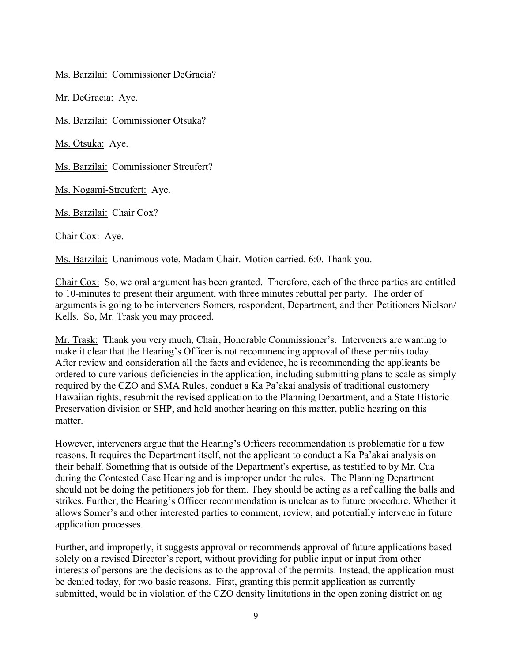Ms. Barzilai: Commissioner DeGracia?

Mr. DeGracia: Aye.

Ms. Barzilai: Commissioner Otsuka?

Ms. Otsuka: Aye.

Ms. Barzilai: Commissioner Streufert?

Ms. Nogami-Streufert: Aye.

Ms. Barzilai: Chair Cox?

Chair Cox: Aye.

Ms. Barzilai: Unanimous vote, Madam Chair. Motion carried. 6:0. Thank you.

Chair Cox: So, we oral argument has been granted. Therefore, each of the three parties are entitled to 10-minutes to present their argument, with three minutes rebuttal per party. The order of arguments is going to be interveners Somers, respondent, Department, and then Petitioners Nielson/ Kells. So, Mr. Trask you may proceed.

Mr. Trask: Thank you very much, Chair, Honorable Commissioner's. Interveners are wanting to make it clear that the Hearing's Officer is not recommending approval of these permits today. After review and consideration all the facts and evidence, he is recommending the applicants be ordered to cure various deficiencies in the application, including submitting plans to scale as simply required by the CZO and SMA Rules, conduct a Ka Pa'akai analysis of traditional customery Hawaiian rights, resubmit the revised application to the Planning Department, and a State Historic Preservation division or SHP, and hold another hearing on this matter, public hearing on this matter.

However, interveners argue that the Hearing's Officers recommendation is problematic for a few reasons. It requires the Department itself, not the applicant to conduct a Ka Pa'akai analysis on their behalf. Something that is outside of the Department's expertise, as testified to by Mr. Cua during the Contested Case Hearing and is improper under the rules. The Planning Department should not be doing the petitioners job for them. They should be acting as a ref calling the balls and strikes. Further, the Hearing's Officer recommendation is unclear as to future procedure. Whether it allows Somer's and other interested parties to comment, review, and potentially intervene in future application processes.

Further, and improperly, it suggests approval or recommends approval of future applications based solely on a revised Director's report, without providing for public input or input from other interests of persons are the decisions as to the approval of the permits. Instead, the application must be denied today, for two basic reasons. First, granting this permit application as currently submitted, would be in violation of the CZO density limitations in the open zoning district on ag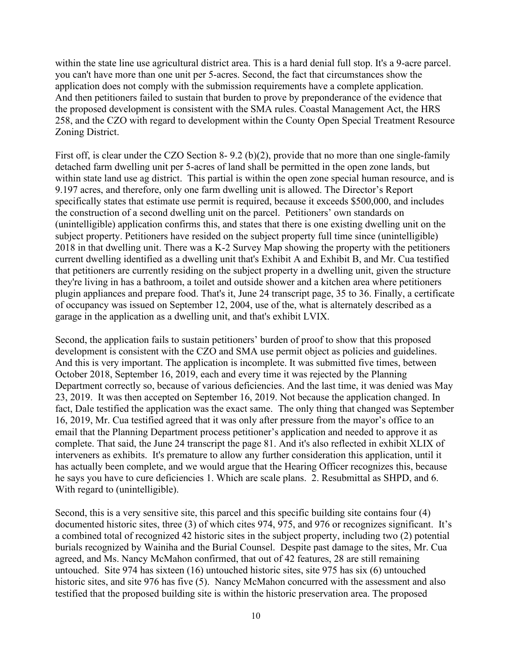within the state line use agricultural district area. This is a hard denial full stop. It's a 9-acre parcel. you can't have more than one unit per 5-acres. Second, the fact that circumstances show the application does not comply with the submission requirements have a complete application. And then petitioners failed to sustain that burden to prove by preponderance of the evidence that the proposed development is consistent with the SMA rules. Coastal Management Act, the HRS 258, and the CZO with regard to development within the County Open Special Treatment Resource Zoning District.

First off, is clear under the CZO Section 8- 9.2 (b)(2), provide that no more than one single-family detached farm dwelling unit per 5-acres of land shall be permitted in the open zone lands, but within state land use ag district. This partial is within the open zone special human resource, and is 9.197 acres, and therefore, only one farm dwelling unit is allowed. The Director's Report specifically states that estimate use permit is required, because it exceeds \$500,000, and includes the construction of a second dwelling unit on the parcel. Petitioners' own standards on (unintelligible) application confirms this, and states that there is one existing dwelling unit on the subject property. Petitioners have resided on the subject property full time since (unintelligible) 2018 in that dwelling unit. There was a K-2 Survey Map showing the property with the petitioners current dwelling identified as a dwelling unit that's Exhibit A and Exhibit B, and Mr. Cua testified that petitioners are currently residing on the subject property in a dwelling unit, given the structure they're living in has a bathroom, a toilet and outside shower and a kitchen area where petitioners plugin appliances and prepare food. That's it, June 24 transcript page, 35 to 36. Finally, a certificate of occupancy was issued on September 12, 2004, use of the, what is alternately described as a garage in the application as a dwelling unit, and that's exhibit LVIX.

Second, the application fails to sustain petitioners' burden of proof to show that this proposed development is consistent with the CZO and SMA use permit object as policies and guidelines. And this is very important. The application is incomplete. It was submitted five times, between October 2018, September 16, 2019, each and every time it was rejected by the Planning Department correctly so, because of various deficiencies. And the last time, it was denied was May 23, 2019. It was then accepted on September 16, 2019. Not because the application changed. In fact, Dale testified the application was the exact same. The only thing that changed was September 16, 2019, Mr. Cua testified agreed that it was only after pressure from the mayor's office to an email that the Planning Department process petitioner's application and needed to approve it as complete. That said, the June 24 transcript the page 81. And it's also reflected in exhibit XLIX of interveners as exhibits. It's premature to allow any further consideration this application, until it has actually been complete, and we would argue that the Hearing Officer recognizes this, because he says you have to cure deficiencies 1. Which are scale plans. 2. Resubmittal as SHPD, and 6. With regard to (unintelligible).

Second, this is a very sensitive site, this parcel and this specific building site contains four (4) documented historic sites, three (3) of which cites 974, 975, and 976 or recognizes significant. It's a combined total of recognized 42 historic sites in the subject property, including two (2) potential burials recognized by Wainiha and the Burial Counsel. Despite past damage to the sites, Mr. Cua agreed, and Ms. Nancy McMahon confirmed, that out of 42 features, 28 are still remaining untouched. Site 974 has sixteen (16) untouched historic sites, site 975 has six (6) untouched historic sites, and site 976 has five (5). Nancy McMahon concurred with the assessment and also testified that the proposed building site is within the historic preservation area. The proposed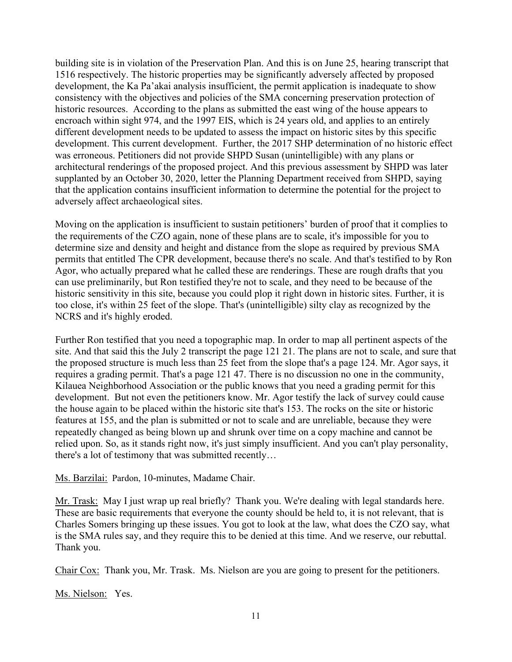building site is in violation of the Preservation Plan. And this is on June 25, hearing transcript that 1516 respectively. The historic properties may be significantly adversely affected by proposed development, the Ka Pa'akai analysis insufficient, the permit application is inadequate to show consistency with the objectives and policies of the SMA concerning preservation protection of historic resources. According to the plans as submitted the east wing of the house appears to encroach within sight 974, and the 1997 EIS, which is 24 years old, and applies to an entirely different development needs to be updated to assess the impact on historic sites by this specific development. This current development. Further, the 2017 SHP determination of no historic effect was erroneous. Petitioners did not provide SHPD Susan (unintelligible) with any plans or architectural renderings of the proposed project. And this previous assessment by SHPD was later supplanted by an October 30, 2020, letter the Planning Department received from SHPD, saying that the application contains insufficient information to determine the potential for the project to adversely affect archaeological sites.

Moving on the application is insufficient to sustain petitioners' burden of proof that it complies to the requirements of the CZO again, none of these plans are to scale, it's impossible for you to determine size and density and height and distance from the slope as required by previous SMA permits that entitled The CPR development, because there's no scale. And that's testified to by Ron Agor, who actually prepared what he called these are renderings. These are rough drafts that you can use preliminarily, but Ron testified they're not to scale, and they need to be because of the historic sensitivity in this site, because you could plop it right down in historic sites. Further, it is too close, it's within 25 feet of the slope. That's (unintelligible) silty clay as recognized by the NCRS and it's highly eroded.

Further Ron testified that you need a topographic map. In order to map all pertinent aspects of the site. And that said this the July 2 transcript the page 121 21. The plans are not to scale, and sure that the proposed structure is much less than 25 feet from the slope that's a page 124. Mr. Agor says, it requires a grading permit. That's a page 121 47. There is no discussion no one in the community, Kilauea Neighborhood Association or the public knows that you need a grading permit for this development. But not even the petitioners know. Mr. Agor testify the lack of survey could cause the house again to be placed within the historic site that's 153. The rocks on the site or historic features at 155, and the plan is submitted or not to scale and are unreliable, because they were repeatedly changed as being blown up and shrunk over time on a copy machine and cannot be relied upon. So, as it stands right now, it's just simply insufficient. And you can't play personality, there's a lot of testimony that was submitted recently…

Ms. Barzilai: Pardon, 10-minutes, Madame Chair.

Mr. Trask: May I just wrap up real briefly? Thank you. We're dealing with legal standards here. These are basic requirements that everyone the county should be held to, it is not relevant, that is Charles Somers bringing up these issues. You got to look at the law, what does the CZO say, what is the SMA rules say, and they require this to be denied at this time. And we reserve, our rebuttal. Thank you.

Chair Cox: Thank you, Mr. Trask. Ms. Nielson are you are going to present for the petitioners.

Ms. Nielson: Yes.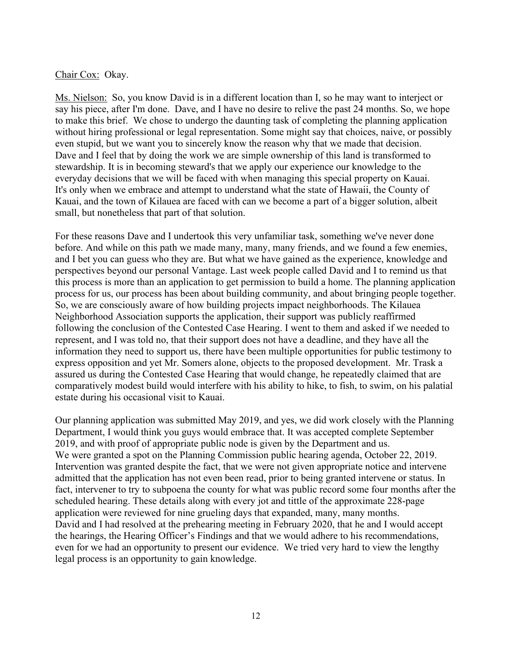### Chair Cox: Okay.

Ms. Nielson: So, you know David is in a different location than I, so he may want to interject or say his piece, after I'm done. Dave, and I have no desire to relive the past 24 months. So, we hope to make this brief. We chose to undergo the daunting task of completing the planning application without hiring professional or legal representation. Some might say that choices, naive, or possibly even stupid, but we want you to sincerely know the reason why that we made that decision. Dave and I feel that by doing the work we are simple ownership of this land is transformed to stewardship. It is in becoming steward's that we apply our experience our knowledge to the everyday decisions that we will be faced with when managing this special property on Kauai. It's only when we embrace and attempt to understand what the state of Hawaii, the County of Kauai, and the town of Kilauea are faced with can we become a part of a bigger solution, albeit small, but nonetheless that part of that solution.

For these reasons Dave and I undertook this very unfamiliar task, something we've never done before. And while on this path we made many, many, many friends, and we found a few enemies, and I bet you can guess who they are. But what we have gained as the experience, knowledge and perspectives beyond our personal Vantage. Last week people called David and I to remind us that this process is more than an application to get permission to build a home. The planning application process for us, our process has been about building community, and about bringing people together. So, we are consciously aware of how building projects impact neighborhoods. The Kilauea Neighborhood Association supports the application, their support was publicly reaffirmed following the conclusion of the Contested Case Hearing. I went to them and asked if we needed to represent, and I was told no, that their support does not have a deadline, and they have all the information they need to support us, there have been multiple opportunities for public testimony to express opposition and yet Mr. Somers alone, objects to the proposed development. Mr. Trask a assured us during the Contested Case Hearing that would change, he repeatedly claimed that are comparatively modest build would interfere with his ability to hike, to fish, to swim, on his palatial estate during his occasional visit to Kauai.

Our planning application was submitted May 2019, and yes, we did work closely with the Planning Department, I would think you guys would embrace that. It was accepted complete September 2019, and with proof of appropriate public node is given by the Department and us. We were granted a spot on the Planning Commission public hearing agenda, October 22, 2019. Intervention was granted despite the fact, that we were not given appropriate notice and intervene admitted that the application has not even been read, prior to being granted intervene or status. In fact, intervener to try to subpoena the county for what was public record some four months after the scheduled hearing. These details along with every jot and tittle of the approximate 228-page application were reviewed for nine grueling days that expanded, many, many months. David and I had resolved at the prehearing meeting in February 2020, that he and I would accept the hearings, the Hearing Officer's Findings and that we would adhere to his recommendations, even for we had an opportunity to present our evidence. We tried very hard to view the lengthy legal process is an opportunity to gain knowledge.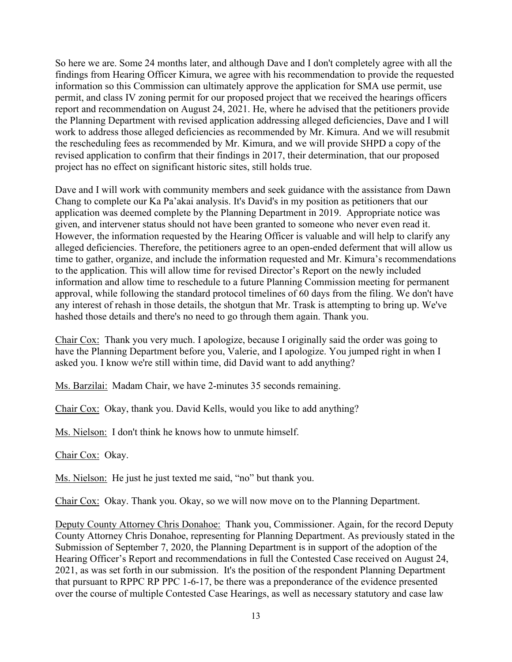So here we are. Some 24 months later, and although Dave and I don't completely agree with all the findings from Hearing Officer Kimura, we agree with his recommendation to provide the requested information so this Commission can ultimately approve the application for SMA use permit, use permit, and class IV zoning permit for our proposed project that we received the hearings officers report and recommendation on August 24, 2021. He, where he advised that the petitioners provide the Planning Department with revised application addressing alleged deficiencies, Dave and I will work to address those alleged deficiencies as recommended by Mr. Kimura. And we will resubmit the rescheduling fees as recommended by Mr. Kimura, and we will provide SHPD a copy of the revised application to confirm that their findings in 2017, their determination, that our proposed project has no effect on significant historic sites, still holds true.

Dave and I will work with community members and seek guidance with the assistance from Dawn Chang to complete our Ka Pa'akai analysis. It's David's in my position as petitioners that our application was deemed complete by the Planning Department in 2019. Appropriate notice was given, and intervener status should not have been granted to someone who never even read it. However, the information requested by the Hearing Officer is valuable and will help to clarify any alleged deficiencies. Therefore, the petitioners agree to an open-ended deferment that will allow us time to gather, organize, and include the information requested and Mr. Kimura's recommendations to the application. This will allow time for revised Director's Report on the newly included information and allow time to reschedule to a future Planning Commission meeting for permanent approval, while following the standard protocol timelines of 60 days from the filing. We don't have any interest of rehash in those details, the shotgun that Mr. Trask is attempting to bring up. We've hashed those details and there's no need to go through them again. Thank you.

Chair Cox: Thank you very much. I apologize, because I originally said the order was going to have the Planning Department before you, Valerie, and I apologize. You jumped right in when I asked you. I know we're still within time, did David want to add anything?

Ms. Barzilai: Madam Chair, we have 2-minutes 35 seconds remaining.

Chair Cox: Okay, thank you. David Kells, would you like to add anything?

Ms. Nielson: I don't think he knows how to unmute himself.

Chair Cox: Okay.

Ms. Nielson: He just he just texted me said, "no" but thank you.

Chair Cox: Okay. Thank you. Okay, so we will now move on to the Planning Department.

Deputy County Attorney Chris Donahoe: Thank you, Commissioner. Again, for the record Deputy County Attorney Chris Donahoe, representing for Planning Department. As previously stated in the Submission of September 7, 2020, the Planning Department is in support of the adoption of the Hearing Officer's Report and recommendations in full the Contested Case received on August 24, 2021, as was set forth in our submission. It's the position of the respondent Planning Department that pursuant to RPPC RP PPC 1-6-17, be there was a preponderance of the evidence presented over the course of multiple Contested Case Hearings, as well as necessary statutory and case law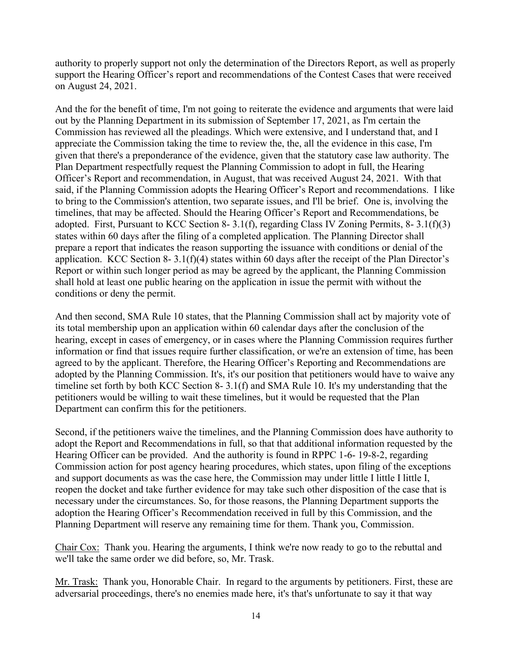authority to properly support not only the determination of the Directors Report, as well as properly support the Hearing Officer's report and recommendations of the Contest Cases that were received on August 24, 2021.

And the for the benefit of time, I'm not going to reiterate the evidence and arguments that were laid out by the Planning Department in its submission of September 17, 2021, as I'm certain the Commission has reviewed all the pleadings. Which were extensive, and I understand that, and I appreciate the Commission taking the time to review the, the, all the evidence in this case, I'm given that there's a preponderance of the evidence, given that the statutory case law authority. The Plan Department respectfully request the Planning Commission to adopt in full, the Hearing Officer's Report and recommendation, in August, that was received August 24, 2021. With that said, if the Planning Commission adopts the Hearing Officer's Report and recommendations. I like to bring to the Commission's attention, two separate issues, and I'll be brief. One is, involving the timelines, that may be affected. Should the Hearing Officer's Report and Recommendations, be adopted. First, Pursuant to KCC Section 8- 3.1(f), regarding Class IV Zoning Permits, 8- 3.1(f)(3) states within 60 days after the filing of a completed application. The Planning Director shall prepare a report that indicates the reason supporting the issuance with conditions or denial of the application. KCC Section 8- 3.1(f)(4) states within 60 days after the receipt of the Plan Director's Report or within such longer period as may be agreed by the applicant, the Planning Commission shall hold at least one public hearing on the application in issue the permit with without the conditions or deny the permit.

And then second, SMA Rule 10 states, that the Planning Commission shall act by majority vote of its total membership upon an application within 60 calendar days after the conclusion of the hearing, except in cases of emergency, or in cases where the Planning Commission requires further information or find that issues require further classification, or we're an extension of time, has been agreed to by the applicant. Therefore, the Hearing Officer's Reporting and Recommendations are adopted by the Planning Commission. It's, it's our position that petitioners would have to waive any timeline set forth by both KCC Section 8- 3.1(f) and SMA Rule 10. It's my understanding that the petitioners would be willing to wait these timelines, but it would be requested that the Plan Department can confirm this for the petitioners.

Second, if the petitioners waive the timelines, and the Planning Commission does have authority to adopt the Report and Recommendations in full, so that that additional information requested by the Hearing Officer can be provided. And the authority is found in RPPC 1-6- 19-8-2, regarding Commission action for post agency hearing procedures, which states, upon filing of the exceptions and support documents as was the case here, the Commission may under little I little I little I, reopen the docket and take further evidence for may take such other disposition of the case that is necessary under the circumstances. So, for those reasons, the Planning Department supports the adoption the Hearing Officer's Recommendation received in full by this Commission, and the Planning Department will reserve any remaining time for them. Thank you, Commission.

Chair Cox: Thank you. Hearing the arguments, I think we're now ready to go to the rebuttal and we'll take the same order we did before, so, Mr. Trask.

Mr. Trask: Thank you, Honorable Chair. In regard to the arguments by petitioners. First, these are adversarial proceedings, there's no enemies made here, it's that's unfortunate to say it that way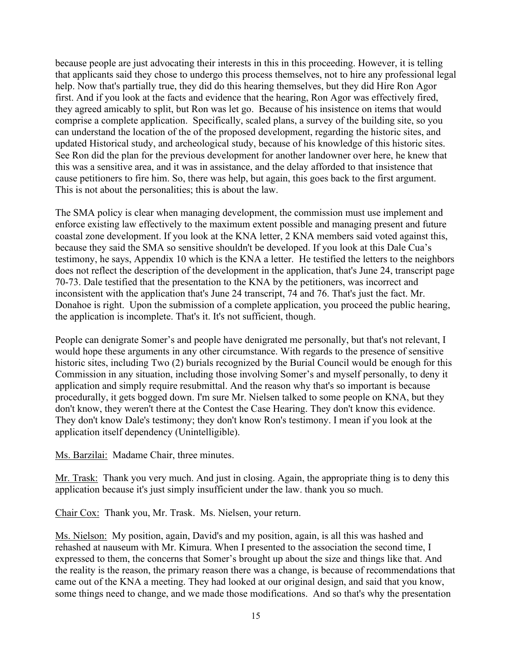because people are just advocating their interests in this in this proceeding. However, it is telling that applicants said they chose to undergo this process themselves, not to hire any professional legal help. Now that's partially true, they did do this hearing themselves, but they did Hire Ron Agor first. And if you look at the facts and evidence that the hearing, Ron Agor was effectively fired, they agreed amicably to split, but Ron was let go. Because of his insistence on items that would comprise a complete application. Specifically, scaled plans, a survey of the building site, so you can understand the location of the of the proposed development, regarding the historic sites, and updated Historical study, and archeological study, because of his knowledge of this historic sites. See Ron did the plan for the previous development for another landowner over here, he knew that this was a sensitive area, and it was in assistance, and the delay afforded to that insistence that cause petitioners to fire him. So, there was help, but again, this goes back to the first argument. This is not about the personalities; this is about the law.

The SMA policy is clear when managing development, the commission must use implement and enforce existing law effectively to the maximum extent possible and managing present and future coastal zone development. If you look at the KNA letter, 2 KNA members said voted against this, because they said the SMA so sensitive shouldn't be developed. If you look at this Dale Cua's testimony, he says, Appendix 10 which is the KNA a letter. He testified the letters to the neighbors does not reflect the description of the development in the application, that's June 24, transcript page 70-73. Dale testified that the presentation to the KNA by the petitioners, was incorrect and inconsistent with the application that's June 24 transcript, 74 and 76. That's just the fact. Mr. Donahoe is right. Upon the submission of a complete application, you proceed the public hearing, the application is incomplete. That's it. It's not sufficient, though.

People can denigrate Somer's and people have denigrated me personally, but that's not relevant, I would hope these arguments in any other circumstance. With regards to the presence of sensitive historic sites, including Two (2) burials recognized by the Burial Council would be enough for this Commission in any situation, including those involving Somer's and myself personally, to deny it application and simply require resubmittal. And the reason why that's so important is because procedurally, it gets bogged down. I'm sure Mr. Nielsen talked to some people on KNA, but they don't know, they weren't there at the Contest the Case Hearing. They don't know this evidence. They don't know Dale's testimony; they don't know Ron's testimony. I mean if you look at the application itself dependency (Unintelligible).

Ms. Barzilai: Madame Chair, three minutes.

Mr. Trask: Thank you very much. And just in closing. Again, the appropriate thing is to deny this application because it's just simply insufficient under the law. thank you so much.

Chair Cox: Thank you, Mr. Trask. Ms. Nielsen, your return.

Ms. Nielson: My position, again, David's and my position, again, is all this was hashed and rehashed at nauseum with Mr. Kimura. When I presented to the association the second time, I expressed to them, the concerns that Somer's brought up about the size and things like that. And the reality is the reason, the primary reason there was a change, is because of recommendations that came out of the KNA a meeting. They had looked at our original design, and said that you know, some things need to change, and we made those modifications. And so that's why the presentation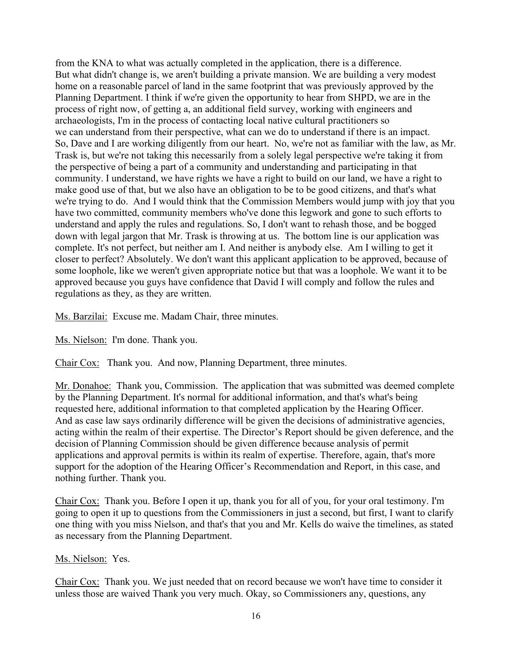from the KNA to what was actually completed in the application, there is a difference. But what didn't change is, we aren't building a private mansion. We are building a very modest home on a reasonable parcel of land in the same footprint that was previously approved by the Planning Department. I think if we're given the opportunity to hear from SHPD, we are in the process of right now, of getting a, an additional field survey, working with engineers and archaeologists, I'm in the process of contacting local native cultural practitioners so we can understand from their perspective, what can we do to understand if there is an impact. So, Dave and I are working diligently from our heart. No, we're not as familiar with the law, as Mr. Trask is, but we're not taking this necessarily from a solely legal perspective we're taking it from the perspective of being a part of a community and understanding and participating in that community. I understand, we have rights we have a right to build on our land, we have a right to make good use of that, but we also have an obligation to be to be good citizens, and that's what we're trying to do. And I would think that the Commission Members would jump with joy that you have two committed, community members who've done this legwork and gone to such efforts to understand and apply the rules and regulations. So, I don't want to rehash those, and be bogged down with legal jargon that Mr. Trask is throwing at us. The bottom line is our application was complete. It's not perfect, but neither am I. And neither is anybody else. Am I willing to get it closer to perfect? Absolutely. We don't want this applicant application to be approved, because of some loophole, like we weren't given appropriate notice but that was a loophole. We want it to be approved because you guys have confidence that David I will comply and follow the rules and regulations as they, as they are written.

Ms. Barzilai: Excuse me. Madam Chair, three minutes.

Ms. Nielson: I'm done. Thank you.

Chair Cox: Thank you. And now, Planning Department, three minutes.

Mr. Donahoe: Thank you, Commission. The application that was submitted was deemed complete by the Planning Department. It's normal for additional information, and that's what's being requested here, additional information to that completed application by the Hearing Officer. And as case law says ordinarily difference will be given the decisions of administrative agencies, acting within the realm of their expertise. The Director's Report should be given deference, and the decision of Planning Commission should be given difference because analysis of permit applications and approval permits is within its realm of expertise. Therefore, again, that's more support for the adoption of the Hearing Officer's Recommendation and Report, in this case, and nothing further. Thank you.

Chair Cox: Thank you. Before I open it up, thank you for all of you, for your oral testimony. I'm going to open it up to questions from the Commissioners in just a second, but first, I want to clarify one thing with you miss Nielson, and that's that you and Mr. Kells do waive the timelines, as stated as necessary from the Planning Department.

### Ms. Nielson: Yes.

Chair Cox: Thank you. We just needed that on record because we won't have time to consider it unless those are waived Thank you very much. Okay, so Commissioners any, questions, any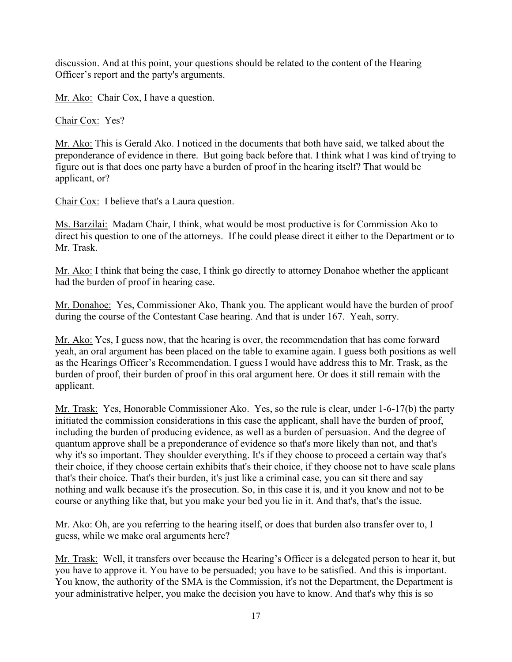discussion. And at this point, your questions should be related to the content of the Hearing Officer's report and the party's arguments.

Mr. Ako: Chair Cox, I have a question.

Chair Cox: Yes?

Mr. Ako: This is Gerald Ako. I noticed in the documents that both have said, we talked about the preponderance of evidence in there. But going back before that. I think what I was kind of trying to figure out is that does one party have a burden of proof in the hearing itself? That would be applicant, or?

Chair Cox: I believe that's a Laura question.

Ms. Barzilai: Madam Chair, I think, what would be most productive is for Commission Ako to direct his question to one of the attorneys. If he could please direct it either to the Department or to Mr. Trask.

Mr. Ako: I think that being the case, I think go directly to attorney Donahoe whether the applicant had the burden of proof in hearing case.

Mr. Donahoe: Yes, Commissioner Ako, Thank you. The applicant would have the burden of proof during the course of the Contestant Case hearing. And that is under 167. Yeah, sorry.

Mr. Ako: Yes, I guess now, that the hearing is over, the recommendation that has come forward yeah, an oral argument has been placed on the table to examine again. I guess both positions as well as the Hearings Officer's Recommendation. I guess I would have address this to Mr. Trask, as the burden of proof, their burden of proof in this oral argument here. Or does it still remain with the applicant.

Mr. Trask: Yes, Honorable Commissioner Ako. Yes, so the rule is clear, under 1-6-17(b) the party initiated the commission considerations in this case the applicant, shall have the burden of proof, including the burden of producing evidence, as well as a burden of persuasion. And the degree of quantum approve shall be a preponderance of evidence so that's more likely than not, and that's why it's so important. They shoulder everything. It's if they choose to proceed a certain way that's their choice, if they choose certain exhibits that's their choice, if they choose not to have scale plans that's their choice. That's their burden, it's just like a criminal case, you can sit there and say nothing and walk because it's the prosecution. So, in this case it is, and it you know and not to be course or anything like that, but you make your bed you lie in it. And that's, that's the issue.

Mr. Ako: Oh, are you referring to the hearing itself, or does that burden also transfer over to, I guess, while we make oral arguments here?

Mr. Trask: Well, it transfers over because the Hearing's Officer is a delegated person to hear it, but you have to approve it. You have to be persuaded; you have to be satisfied. And this is important. You know, the authority of the SMA is the Commission, it's not the Department, the Department is your administrative helper, you make the decision you have to know. And that's why this is so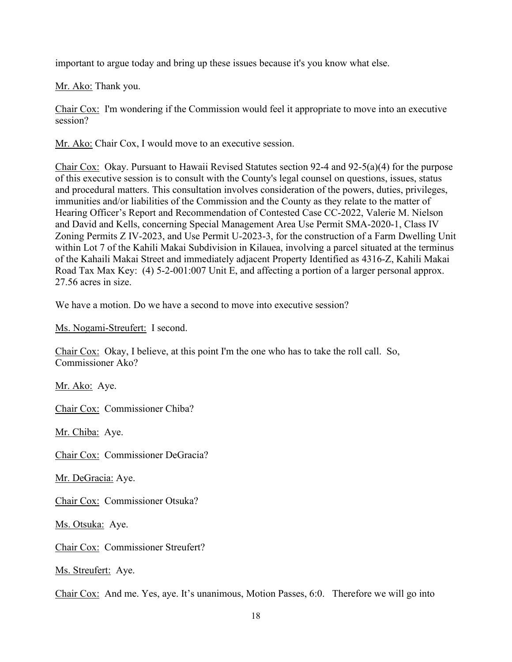important to argue today and bring up these issues because it's you know what else.

Mr. Ako: Thank you.

Chair Cox: I'm wondering if the Commission would feel it appropriate to move into an executive session?

Mr. Ako: Chair Cox, I would move to an executive session.

Chair Cox: Okay. Pursuant to Hawaii Revised Statutes section 92-4 and 92-5(a)(4) for the purpose of this executive session is to consult with the County's legal counsel on questions, issues, status and procedural matters. This consultation involves consideration of the powers, duties, privileges, immunities and/or liabilities of the Commission and the County as they relate to the matter of Hearing Officer's Report and Recommendation of Contested Case CC-2022, Valerie M. Nielson and David and Kells, concerning Special Management Area Use Permit SMA-2020-1, Class IV Zoning Permits Z IV-2023, and Use Permit U-2023-3, for the construction of a Farm Dwelling Unit within Lot 7 of the Kahili Makai Subdivision in Kilauea, involving a parcel situated at the terminus of the Kahaili Makai Street and immediately adjacent Property Identified as 4316-Z, Kahili Makai Road Tax Max Key: (4) 5-2-001:007 Unit E, and affecting a portion of a larger personal approx. 27.56 acres in size.

We have a motion. Do we have a second to move into executive session?

Ms. Nogami-Streufert: I second.

Chair Cox: Okay, I believe, at this point I'm the one who has to take the roll call. So, Commissioner Ako?

Mr. Ako: Aye.

Chair Cox: Commissioner Chiba?

Mr. Chiba: Aye.

Chair Cox: Commissioner DeGracia?

Mr. DeGracia: Aye.

Chair Cox: Commissioner Otsuka?

Ms. Otsuka: Aye.

Chair Cox: Commissioner Streufert?

Ms. Streufert: Aye.

Chair Cox: And me. Yes, aye. It's unanimous, Motion Passes, 6:0. Therefore we will go into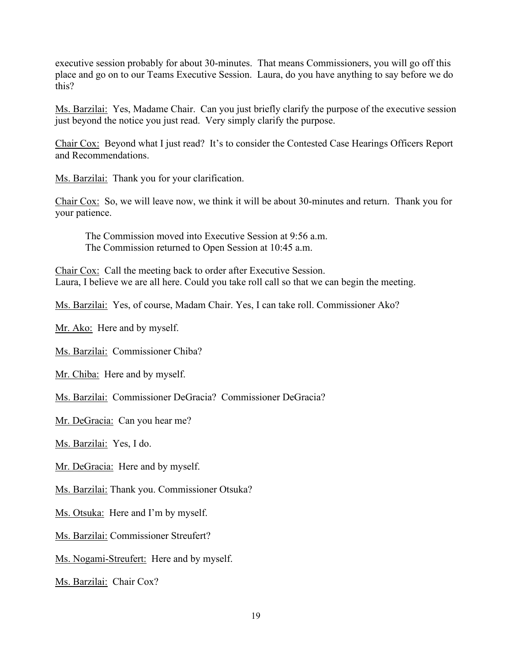executive session probably for about 30-minutes. That means Commissioners, you will go off this place and go on to our Teams Executive Session. Laura, do you have anything to say before we do this?

Ms. Barzilai: Yes, Madame Chair. Can you just briefly clarify the purpose of the executive session just beyond the notice you just read. Very simply clarify the purpose.

Chair Cox: Beyond what I just read? It's to consider the Contested Case Hearings Officers Report and Recommendations.

Ms. Barzilai: Thank you for your clarification.

Chair Cox: So, we will leave now, we think it will be about 30-minutes and return. Thank you for your patience.

 The Commission moved into Executive Session at 9:56 a.m. The Commission returned to Open Session at 10:45 a.m.

Chair Cox: Call the meeting back to order after Executive Session. Laura, I believe we are all here. Could you take roll call so that we can begin the meeting.

Ms. Barzilai: Yes, of course, Madam Chair. Yes, I can take roll. Commissioner Ako?

Mr. Ako: Here and by myself.

Ms. Barzilai: Commissioner Chiba?

Mr. Chiba: Here and by myself.

Ms. Barzilai: Commissioner DeGracia? Commissioner DeGracia?

Mr. DeGracia: Can you hear me?

Ms. Barzilai: Yes, I do.

Mr. DeGracia: Here and by myself.

Ms. Barzilai: Thank you. Commissioner Otsuka?

Ms. Otsuka: Here and I'm by myself.

Ms. Barzilai: Commissioner Streufert?

Ms. Nogami-Streufert: Here and by myself.

Ms. Barzilai: Chair Cox?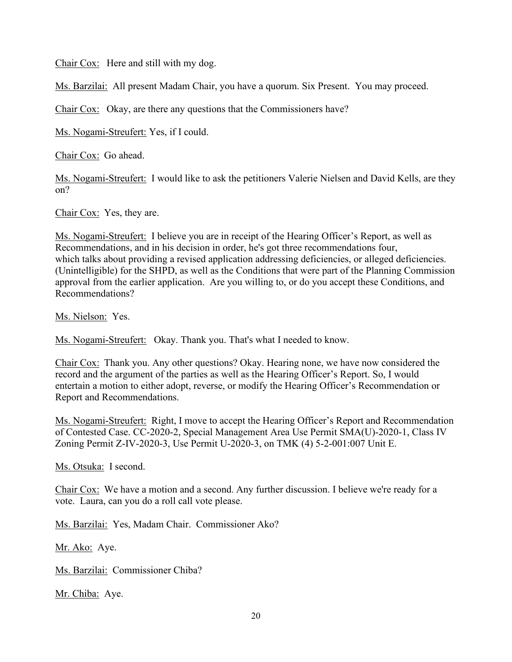Chair Cox: Here and still with my dog.

Ms. Barzilai: All present Madam Chair, you have a quorum. Six Present. You may proceed.

Chair Cox: Okay, are there any questions that the Commissioners have?

Ms. Nogami-Streufert: Yes, if I could.

Chair Cox: Go ahead.

Ms. Nogami-Streufert: I would like to ask the petitioners Valerie Nielsen and David Kells, are they on?

Chair Cox: Yes, they are.

Ms. Nogami-Streufert: I believe you are in receipt of the Hearing Officer's Report, as well as Recommendations, and in his decision in order, he's got three recommendations four, which talks about providing a revised application addressing deficiencies, or alleged deficiencies. (Unintelligible) for the SHPD, as well as the Conditions that were part of the Planning Commission approval from the earlier application. Are you willing to, or do you accept these Conditions, and Recommendations?

Ms. Nielson: Yes.

Ms. Nogami-Streufert: Okay. Thank you. That's what I needed to know.

Chair Cox: Thank you. Any other questions? Okay. Hearing none, we have now considered the record and the argument of the parties as well as the Hearing Officer's Report. So, I would entertain a motion to either adopt, reverse, or modify the Hearing Officer's Recommendation or Report and Recommendations.

Ms. Nogami-Streufert: Right, I move to accept the Hearing Officer's Report and Recommendation of Contested Case. CC-2020-2, Special Management Area Use Permit SMA(U)-2020-1, Class IV Zoning Permit Z-IV-2020-3, Use Permit U-2020-3, on TMK (4) 5-2-001:007 Unit E.

Ms. Otsuka: I second.

Chair Cox: We have a motion and a second. Any further discussion. I believe we're ready for a vote. Laura, can you do a roll call vote please.

Ms. Barzilai: Yes, Madam Chair. Commissioner Ako?

Mr. Ako: Aye.

Ms. Barzilai: Commissioner Chiba?

Mr. Chiba: Aye.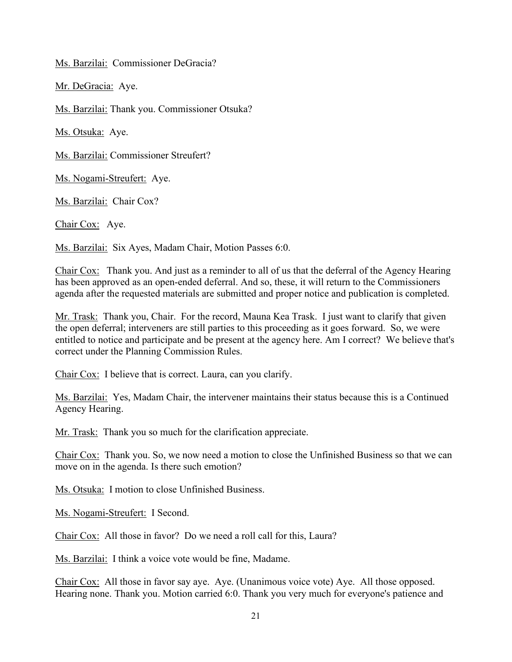Ms. Barzilai: Commissioner DeGracia?

Mr. DeGracia: Aye.

Ms. Barzilai: Thank you. Commissioner Otsuka?

Ms. Otsuka: Aye.

Ms. Barzilai: Commissioner Streufert?

Ms. Nogami-Streufert: Aye.

Ms. Barzilai: Chair Cox?

Chair Cox: Aye.

Ms. Barzilai: Six Ayes, Madam Chair, Motion Passes 6:0.

Chair Cox: Thank you. And just as a reminder to all of us that the deferral of the Agency Hearing has been approved as an open-ended deferral. And so, these, it will return to the Commissioners agenda after the requested materials are submitted and proper notice and publication is completed.

Mr. Trask: Thank you, Chair. For the record, Mauna Kea Trask. I just want to clarify that given the open deferral; interveners are still parties to this proceeding as it goes forward. So, we were entitled to notice and participate and be present at the agency here. Am I correct? We believe that's correct under the Planning Commission Rules.

Chair Cox: I believe that is correct. Laura, can you clarify.

Ms. Barzilai: Yes, Madam Chair, the intervener maintains their status because this is a Continued Agency Hearing.

Mr. Trask: Thank you so much for the clarification appreciate.

Chair Cox: Thank you. So, we now need a motion to close the Unfinished Business so that we can move on in the agenda. Is there such emotion?

Ms. Otsuka: I motion to close Unfinished Business.

Ms. Nogami-Streufert: I Second.

Chair Cox: All those in favor? Do we need a roll call for this, Laura?

Ms. Barzilai: I think a voice vote would be fine, Madame.

Chair Cox: All those in favor say aye. Aye. (Unanimous voice vote) Aye. All those opposed. Hearing none. Thank you. Motion carried 6:0. Thank you very much for everyone's patience and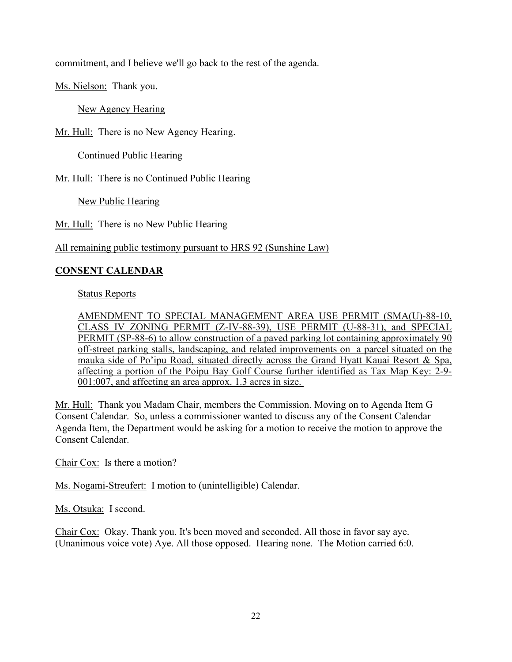commitment, and I believe we'll go back to the rest of the agenda.

Ms. Nielson: Thank you.

New Agency Hearing

Mr. Hull: There is no New Agency Hearing.

Continued Public Hearing

Mr. Hull: There is no Continued Public Hearing

New Public Hearing

Mr. Hull: There is no New Public Hearing

All remaining public testimony pursuant to HRS 92 (Sunshine Law)

## **CONSENT CALENDAR**

Status Reports

AMENDMENT TO SPECIAL MANAGEMENT AREA USE PERMIT (SMA(U)-88-10, CLASS IV ZONING PERMIT (Z-IV-88-39), USE PERMIT (U-88-31), and SPECIAL PERMIT (SP-88-6) to allow construction of a paved parking lot containing approximately 90 off-street parking stalls, landscaping, and related improvements on a parcel situated on the mauka side of Po'ipu Road, situated directly across the Grand Hyatt Kauai Resort & Spa, affecting a portion of the Poipu Bay Golf Course further identified as Tax Map Key: 2-9- 001:007, and affecting an area approx. 1.3 acres in size.

Mr. Hull: Thank you Madam Chair, members the Commission. Moving on to Agenda Item G Consent Calendar. So, unless a commissioner wanted to discuss any of the Consent Calendar Agenda Item, the Department would be asking for a motion to receive the motion to approve the Consent Calendar.

Chair Cox: Is there a motion?

Ms. Nogami-Streufert: I motion to (unintelligible) Calendar.

Ms. Otsuka: I second.

Chair Cox: Okay. Thank you. It's been moved and seconded. All those in favor say aye. (Unanimous voice vote) Aye. All those opposed. Hearing none. The Motion carried 6:0.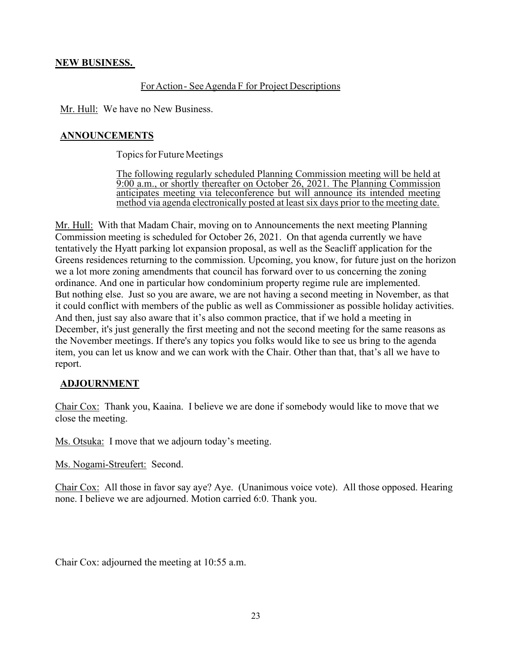### **NEW BUSINESS.**

### For Action - See Agenda F for Project Descriptions

Mr. Hull: We have no New Business.

# **ANNOUNCEMENTS**

Topics for Future Meetings

The following regularly scheduled Planning Commission meeting will be held at 9:00 a.m., or shortly thereafter on October 26, 2021. The Planning Commission anticipates meeting via teleconference but will announce its intended meeting method via agenda electronically posted at least six days prior to the meeting date.

Mr. Hull: With that Madam Chair, moving on to Announcements the next meeting Planning Commission meeting is scheduled for October 26, 2021. On that agenda currently we have tentatively the Hyatt parking lot expansion proposal, as well as the Seacliff application for the Greens residences returning to the commission. Upcoming, you know, for future just on the horizon we a lot more zoning amendments that council has forward over to us concerning the zoning ordinance. And one in particular how condominium property regime rule are implemented. But nothing else. Just so you are aware, we are not having a second meeting in November, as that it could conflict with members of the public as well as Commissioner as possible holiday activities. And then, just say also aware that it's also common practice, that if we hold a meeting in December, it's just generally the first meeting and not the second meeting for the same reasons as the November meetings. If there's any topics you folks would like to see us bring to the agenda item, you can let us know and we can work with the Chair. Other than that, that's all we have to report.

## **ADJOURNMENT**

Chair Cox: Thank you, Kaaina. I believe we are done if somebody would like to move that we close the meeting.

Ms. Otsuka: I move that we adjourn today's meeting.

Ms. Nogami-Streufert: Second.

Chair Cox: All those in favor say aye? Aye. (Unanimous voice vote). All those opposed. Hearing none. I believe we are adjourned. Motion carried 6:0. Thank you.

Chair Cox: adjourned the meeting at 10:55 a.m.